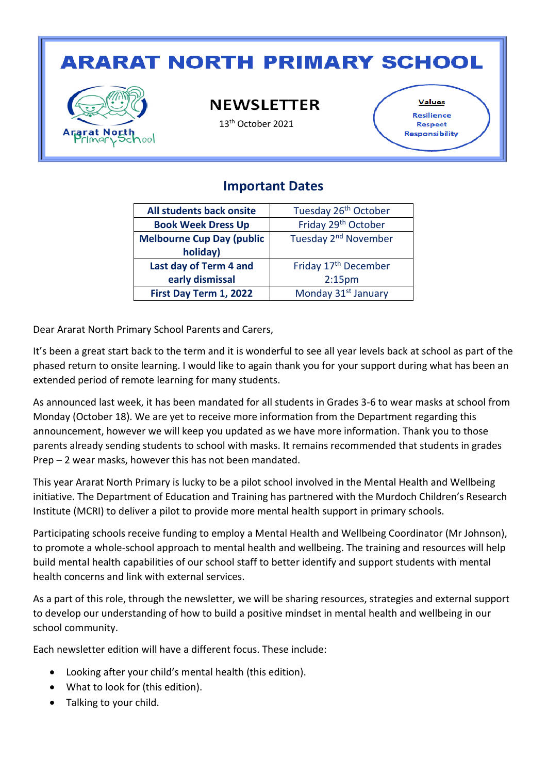# **ARARAT NORTH PRIMARY SCHOOL**



**NEWSLETTER** 

13<sup>th</sup> October 2021

Values Resilience Respect **Responsibility** 

#### **Important Dates**

| All students back onsite         | Tuesday 26 <sup>th</sup> October |
|----------------------------------|----------------------------------|
| <b>Book Week Dress Up</b>        | Friday 29 <sup>th</sup> October  |
| <b>Melbourne Cup Day (public</b> | Tuesday 2 <sup>nd</sup> November |
| holiday)                         |                                  |
| Last day of Term 4 and           | Friday 17 <sup>th</sup> December |
| early dismissal                  | 2:15 <sub>pm</sub>               |
| First Day Term 1, 2022           | Monday 31 <sup>st</sup> January  |

Dear Ararat North Primary School Parents and Carers,

It's been a great start back to the term and it is wonderful to see all year levels back at school as part of the phased return to onsite learning. I would like to again thank you for your support during what has been an extended period of remote learning for many students.

As announced last week, it has been mandated for all students in Grades 3-6 to wear masks at school from Monday (October 18). We are yet to receive more information from the Department regarding this announcement, however we will keep you updated as we have more information. Thank you to those parents already sending students to school with masks. It remains recommended that students in grades Prep – 2 wear masks, however this has not been mandated.

This year Ararat North Primary is lucky to be a pilot school involved in the Mental Health and Wellbeing initiative. The Department of Education and Training has partnered with the Murdoch Children's Research Institute (MCRI) to deliver a pilot to provide more mental health support in primary schools.

Participating schools receive funding to employ a Mental Health and Wellbeing Coordinator (Mr Johnson), to promote a whole-school approach to mental health and wellbeing. The training and resources will help build mental health capabilities of our school staff to better identify and support students with mental health concerns and link with external services.

As a part of this role, through the newsletter, we will be sharing resources, strategies and external support to develop our understanding of how to build a positive mindset in mental health and wellbeing in our school community.

Each newsletter edition will have a different focus. These include:

- Looking after your child's mental health (this edition).
- What to look for (this edition).
- Talking to your child.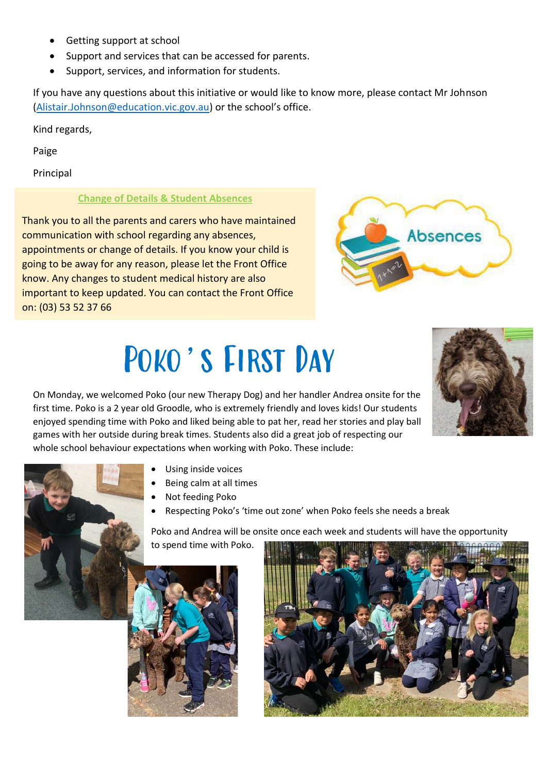- Getting support at school
- Support and services that can be accessed for parents.
- Support, services, and information for students.

If you have any questions about this initiative or would like to know more, please contact Mr Johnson [\(Alistair.Johnson@education.vic.gov.au](mailto:Alistair.Johnson@education.vic.gov.au)) or the school's office.

Kind regards,

Paige

Principal

#### **Change of Details & Student Absences**

Thank you to all the parents and carers who have maintained communication with school regarding any absences, appointments or change of details. If you know your child is going to be away for any reason, please let the Front Office know. Any changes to student medical history are also important to keep updated. You can contact the Front Office on: (03) 53 52 37 66



# Poko's First Day

On Monday, we welcomed Poko (our new Therapy Dog) and her handler Andrea onsite for the first time. Poko is a 2 year old Groodle, who is extremely friendly and loves kids! Our students enjoyed spending time with Poko and liked being able to pat her, read her stories and play ball games with her outside during break times. Students also did a great job of respecting our whole school behaviour expectations when working with Poko. These include:





- Using inside voices
- Being calm at all times
- Not feeding Poko
- Respecting Poko's 'time out zone' when Poko feels she needs a break

Poko and Andrea will be onsite once each week and students will have the opportunity to spend time with Poko.



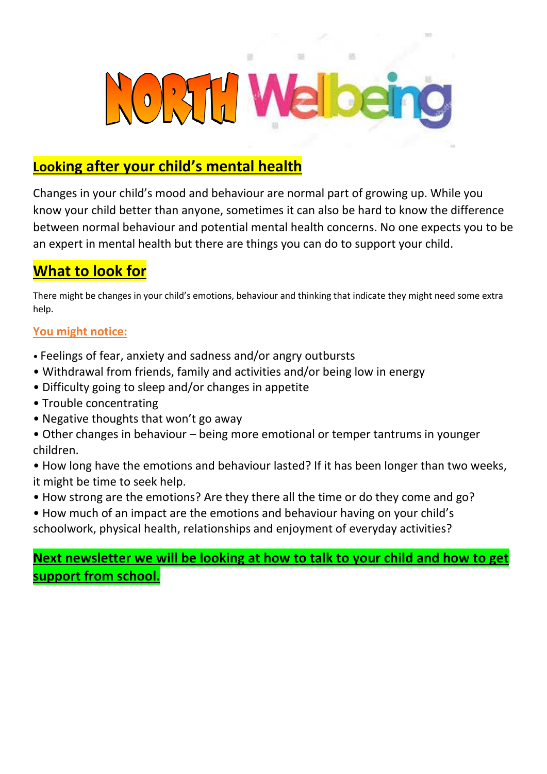

### **Looking after your child's mental health**

Changes in your child's mood and behaviour are normal part of growing up. While you know your child better than anyone, sometimes it can also be hard to know the difference between normal behaviour and potential mental health concerns. No one expects you to be an expert in mental health but there are things you can do to support your child.

## **What to look for**

There might be changes in your child's emotions, behaviour and thinking that indicate they might need some extra help.

#### **You might notice:**

- Feelings of fear, anxiety and sadness and/or angry outbursts
- Withdrawal from friends, family and activities and/or being low in energy
- Difficulty going to sleep and/or changes in appetite
- Trouble concentrating
- Negative thoughts that won't go away
- Other changes in behaviour being more emotional or temper tantrums in younger children.
- How long have the emotions and behaviour lasted? If it has been longer than two weeks, it might be time to seek help.
- How strong are the emotions? Are they there all the time or do they come and go?
- How much of an impact are the emotions and behaviour having on your child's schoolwork, physical health, relationships and enjoyment of everyday activities?

### **Next newsletter we will be looking at how to talk to your child and how to get support from school.**